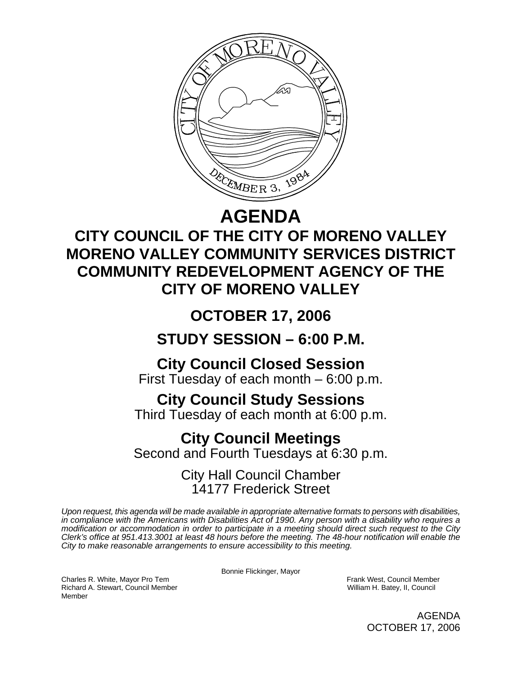

## **AGENDA**

## **CITY COUNCIL OF THE CITY OF MORENO VALLEY MORENO VALLEY COMMUNITY SERVICES DISTRICT COMMUNITY REDEVELOPMENT AGENCY OF THE CITY OF MORENO VALLEY**

# **OCTOBER 17, 2006**

## **STUDY SESSION – 6:00 P.M.**

## **City Council Closed Session**

First Tuesday of each month – 6:00 p.m.

### **City Council Study Sessions**

Third Tuesday of each month at 6:00 p.m.

### **City Council Meetings**

Second and Fourth Tuesdays at 6:30 p.m.

### City Hall Council Chamber 14177 Frederick Street

*Upon request, this agenda will be made available in appropriate alternative formats to persons with disabilities, in compliance with the Americans with Disabilities Act of 1990. Any person with a disability who requires a modification or accommodation in order to participate in a meeting should direct such request to the City Clerk's office at 951.413.3001 at least 48 hours before the meeting. The 48-hour notification will enable the City to make reasonable arrangements to ensure accessibility to this meeting.* 

Bonnie Flickinger, Mayor

Charles R. White, Mayor Pro Tem Frank West, Council Member

Richard A. Stewart, Council Member William H. Batey, II, Council Member

> AGENDA OCTOBER 17, 2006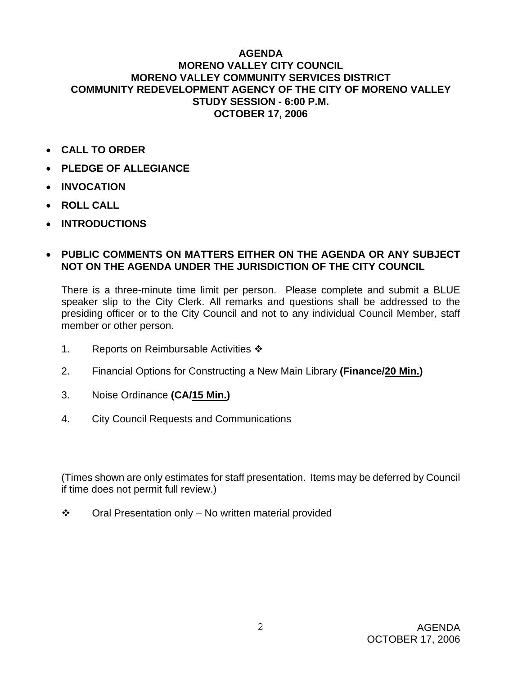#### **AGENDA MORENO VALLEY CITY COUNCIL MORENO VALLEY COMMUNITY SERVICES DISTRICT COMMUNITY REDEVELOPMENT AGENCY OF THE CITY OF MORENO VALLEY STUDY SESSION - 6:00 P.M. OCTOBER 17, 2006**

- **CALL TO ORDER**
- **PLEDGE OF ALLEGIANCE**
- **INVOCATION**
- **ROLL CALL**
- **INTRODUCTIONS**

#### • **PUBLIC COMMENTS ON MATTERS EITHER ON THE AGENDA OR ANY SUBJECT NOT ON THE AGENDA UNDER THE JURISDICTION OF THE CITY COUNCIL**

There is a three-minute time limit per person. Please complete and submit a BLUE speaker slip to the City Clerk. All remarks and questions shall be addressed to the presiding officer or to the City Council and not to any individual Council Member, staff member or other person.

- 1. Reports on Reimbursable Activities  $\cdot$
- 2. Financial Options for Constructing a New Main Library **(Finance/20 Min.)**
- 3. Noise Ordinance **(CA/15 Min.)**
- 4. City Council Requests and Communications

(Times shown are only estimates for staff presentation. Items may be deferred by Council if time does not permit full review.)

 $\div$  Oral Presentation only – No written material provided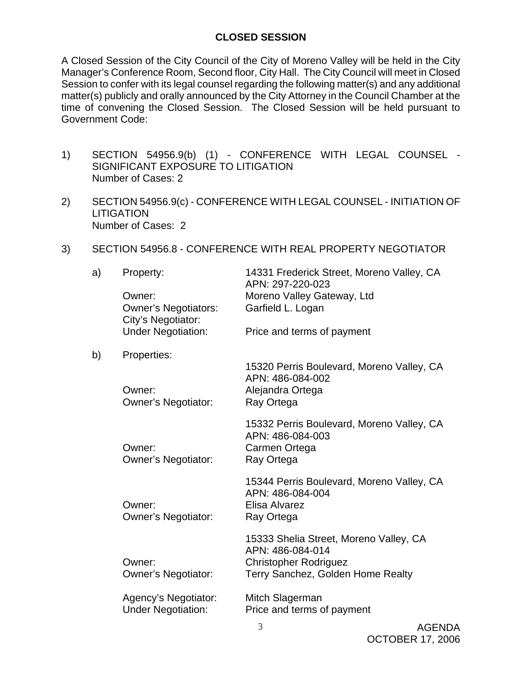#### **CLOSED SESSION**

A Closed Session of the City Council of the City of Moreno Valley will be held in the City Manager's Conference Room, Second floor, City Hall. The City Council will meet in Closed Session to confer with its legal counsel regarding the following matter(s) and any additional matter(s) publicly and orally announced by the City Attorney in the Council Chamber at the time of convening the Closed Session. The Closed Session will be held pursuant to Government Code:

- 1) SECTION 54956.9(b) (1) CONFERENCE WITH LEGAL COUNSEL SIGNIFICANT EXPOSURE TO LITIGATION Number of Cases: 2
- 2) SECTION 54956.9(c) CONFERENCE WITH LEGAL COUNSEL INITIATION OF **LITIGATION** Number of Cases: 2
- 3) SECTION 54956.8 CONFERENCE WITH REAL PROPERTY NEGOTIATOR

| a) | Property:                                         | 14331 Frederick Street, Moreno Valley, CA<br>APN: 297-220-023                                                                   |
|----|---------------------------------------------------|---------------------------------------------------------------------------------------------------------------------------------|
|    | Owner:                                            | Moreno Valley Gateway, Ltd                                                                                                      |
|    | <b>Owner's Negotiators:</b><br>City's Negotiator: | Garfield L. Logan                                                                                                               |
|    | <b>Under Negotiation:</b>                         | Price and terms of payment                                                                                                      |
| b) | Properties:                                       |                                                                                                                                 |
|    | Owner:<br><b>Owner's Negotiator:</b>              | 15320 Perris Boulevard, Moreno Valley, CA<br>APN: 486-084-002<br>Alejandra Ortega<br>Ray Ortega                                 |
|    | Owner:<br><b>Owner's Negotiator:</b>              | 15332 Perris Boulevard, Moreno Valley, CA<br>APN: 486-084-003<br>Carmen Ortega<br>Ray Ortega                                    |
|    | Owner:<br>Owner's Negotiator:                     | 15344 Perris Boulevard, Moreno Valley, CA<br>APN: 486-084-004<br>Elisa Alvarez<br>Ray Ortega                                    |
|    | Owner:<br><b>Owner's Negotiator:</b>              | 15333 Shelia Street, Moreno Valley, CA<br>APN: 486-084-014<br><b>Christopher Rodriguez</b><br>Terry Sanchez, Golden Home Realty |
|    | Agency's Negotiator:<br><b>Under Negotiation:</b> | Mitch Slagerman<br>Price and terms of payment                                                                                   |
|    |                                                   |                                                                                                                                 |